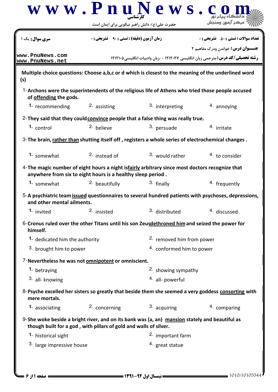|                                                            | حضرت علی(ع): دانش راهبر نیکویی برای ایمان است                     |                                                                                                        |                                                                                                                                    |  |  |
|------------------------------------------------------------|-------------------------------------------------------------------|--------------------------------------------------------------------------------------------------------|------------------------------------------------------------------------------------------------------------------------------------|--|--|
| <b>سری سوال :</b> یک ۱                                     | <b>زمان آزمون (دقیقه) : تستی : ۹۰٪ تشریحی : 0</b>                 |                                                                                                        | <b>تعداد سوالات : تستي : 50 ٪ تشريحي : 0</b>                                                                                       |  |  |
| www.PnuNews.com<br>www.PnuNews.net                         |                                                                   |                                                                                                        | <b>عنـــوان درس:</b> خواندن ودرک مفاهیم ۲<br><b>رشته تحصیلی/گد درس:</b> مترجمی زبان انگلیسی ۱۲۱۲۰۴۷ - ،زبان وادبیات انگلیسی1۲۱۲۱۰۵ |  |  |
| (s)                                                        |                                                                   | Multiple choice questions: Choose a,b,c or d which is closest to the meaning of the underlined word    |                                                                                                                                    |  |  |
| of offending the gods.                                     |                                                                   | 1-Archons were the superintendents of the religious life of Athens who tried those people accused      |                                                                                                                                    |  |  |
| 1. recommending                                            | 2. assisting                                                      | 3. interpreting                                                                                        | 4. annoying                                                                                                                        |  |  |
|                                                            |                                                                   | 2-They said that they could convince people that a false thing was really true.                        |                                                                                                                                    |  |  |
| 1. control                                                 | <sup>2.</sup> believe                                             | 3. persuade                                                                                            | 4. irritate                                                                                                                        |  |  |
|                                                            |                                                                   | 3- The brain, rather than shutting itself off, registers a whole series of electrochemical changes.    |                                                                                                                                    |  |  |
| 1. somewhat                                                | <sup>2.</sup> instead of                                          | 3. would rather                                                                                        | $4.$ to consider                                                                                                                   |  |  |
|                                                            | anywhere from six to eight hours is a healthy sleep period.       | 4-The magic number of eight hours a night is <i>fairly</i> arbitrary since most doctors recognize that |                                                                                                                                    |  |  |
| 1. somewhat                                                | <sup>2</sup> beautifully                                          | 3. finally                                                                                             | 4. frequently                                                                                                                      |  |  |
| and other mental ailments.                                 |                                                                   |                                                                                                        | 5-A psychiatric team issued questionnaires to several hundred patients with psychoses, depressions,                                |  |  |
| 1. invited                                                 | <sup>2.</sup> insisted                                            | 3. distributed                                                                                         | 4. discussed                                                                                                                       |  |  |
| himself.                                                   |                                                                   | 6-Cronus ruled over the other Titans until his son Zeusdethroned him and seized the power for          |                                                                                                                                    |  |  |
| 1. dedicated him the authority                             |                                                                   |                                                                                                        | 2. removed him from power                                                                                                          |  |  |
|                                                            | 3. brought him to power                                           |                                                                                                        | 4. conformed him to power                                                                                                          |  |  |
| 7-Nevertheless he was not <b>omnipotent</b> or omniscient. |                                                                   |                                                                                                        |                                                                                                                                    |  |  |
| 1. betraying                                               |                                                                   | 2. showing sympathy                                                                                    |                                                                                                                                    |  |  |
| 3. all-knowing                                             |                                                                   | 4. all- powerful                                                                                       |                                                                                                                                    |  |  |
| mere mortals.                                              |                                                                   |                                                                                                        | 8-Psyche excelled her sisters so greatly that beside them she seemed a very goddess consorting with                                |  |  |
| 1. associating                                             | 2. concerning                                                     | 3. acquiring                                                                                           | 4. comparing                                                                                                                       |  |  |
|                                                            | though built for a god, with pillars of gold and walls of silver. | $9$ -She woke beside a bright river, and on its bank was (a, an) mansion stately and beautiful as      |                                                                                                                                    |  |  |
| 1. historical sight                                        |                                                                   | 2. important farm                                                                                      |                                                                                                                                    |  |  |
| 3. large impressive house                                  |                                                                   | <sup>4.</sup> great statue                                                                             |                                                                                                                                    |  |  |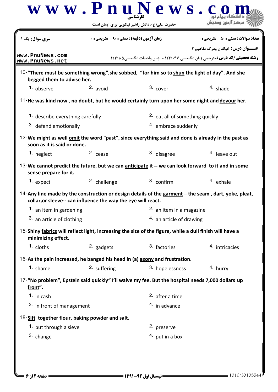|                                                                                                                                   |                                                  | www.PnuNews.<br>حضرت علی(ع): دانش راهبر نیکویی برای ایمان است | مرکز آزمون وس                                                                                                                      |  |  |
|-----------------------------------------------------------------------------------------------------------------------------------|--------------------------------------------------|---------------------------------------------------------------|------------------------------------------------------------------------------------------------------------------------------------|--|--|
| <b>سری سوال :</b> یک ۱                                                                                                            | <b>زمان آزمون (دقیقه) : تستی : ۹۰٪ تشریحی: 0</b> |                                                               | <b>تعداد سوالات : تستی : 50 ٪ تشریحی : 0</b>                                                                                       |  |  |
| www.PnuNews.com<br>www.PnuNews.net                                                                                                |                                                  |                                                               | <b>عنـــوان درس:</b> خواندن ودرک مفاهیم ۲<br><b>رشته تحصیلی/کد درس:</b> مترجمی زبان انگلیسی ۱۲۱۲۰۴۷ - ،زبان وادبیات انگلیسی1۲۱۲۱۰۵ |  |  |
| 10-"There must be something wrong", she sobbed, "for him so to shun the light of day". And she<br>begged them to advise her.      |                                                  |                                                               |                                                                                                                                    |  |  |
| 1. observe                                                                                                                        | $2.$ avoid                                       | 3. cover                                                      | $4.$ shade                                                                                                                         |  |  |
| 11-He was kind now, no doubt, but he would certainly turn upon her some night and devour her.                                     |                                                  |                                                               |                                                                                                                                    |  |  |
| <sup>1.</sup> describe everything carefully                                                                                       |                                                  |                                                               | <sup>2.</sup> eat all of something quickly                                                                                         |  |  |
| 3. defend emotionally                                                                                                             |                                                  | 4. embrace suddenly                                           |                                                                                                                                    |  |  |
| 12-We might as well omit the word "past", since everything said and done is already in the past as<br>soon as it is said or done. |                                                  |                                                               |                                                                                                                                    |  |  |
| 1. neglect                                                                                                                        | 2. cease                                         | 3. disagree                                                   | 4. leave out                                                                                                                       |  |  |
| 13-We cannot predict the future, but we can anticipate it -- we can look forward to it and in some<br>sense prepare for it.       |                                                  |                                                               |                                                                                                                                    |  |  |
| 1. expect                                                                                                                         | 2. challenge                                     | 3. confirm                                                    | 4. exhale                                                                                                                          |  |  |
| collar, or sleeve-- can influence the way the eye will react.                                                                     |                                                  |                                                               | 14-Any line made by the construction or design details of the garment $-$ the seam, dart, yoke, pleat,                             |  |  |
| 1. an item in gardening                                                                                                           |                                                  | 2. an item in a magazine                                      |                                                                                                                                    |  |  |
| 3. an article of clothing                                                                                                         |                                                  |                                                               | $4.$ an article of drawing                                                                                                         |  |  |
| 15-Shiny fabrics will reflect light, increasing the size of the figure, while a dull finish will have a<br>minimizing effect.     |                                                  |                                                               |                                                                                                                                    |  |  |
| 1. cloths                                                                                                                         | 2. gadgets                                       | 3. factories                                                  | 4. intricacies                                                                                                                     |  |  |
| 16-As the pain increased, he banged his head in (a) agony and frustration.                                                        |                                                  |                                                               |                                                                                                                                    |  |  |
| 1. shame                                                                                                                          | 2. suffering                                     | 3. hopelessness                                               | 4. hurry                                                                                                                           |  |  |
| 17-"No problem", Epstein said quickly" I'll waive my fee. But the hospital needs 7,000 dollars up<br>front".                      |                                                  |                                                               |                                                                                                                                    |  |  |
| 1. in cash                                                                                                                        |                                                  | 2. after a time                                               |                                                                                                                                    |  |  |
| 3. in front of management                                                                                                         |                                                  | $4.$ in advance                                               |                                                                                                                                    |  |  |
| 18-Sift together flour, baking powder and salt.                                                                                   |                                                  |                                                               |                                                                                                                                    |  |  |
| 1. put through a sieve                                                                                                            |                                                  | 2. preserve                                                   |                                                                                                                                    |  |  |
| 3. change                                                                                                                         |                                                  | $4.$ put in a box                                             |                                                                                                                                    |  |  |
|                                                                                                                                   |                                                  |                                                               |                                                                                                                                    |  |  |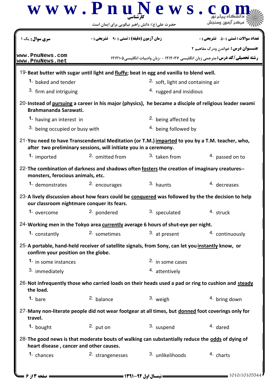

|                                                                                                                                                                     |                  | حضرت علی(ع): دانش راهبر نیکویی برای ایمان است      |                                 |                                                                                      |  |
|---------------------------------------------------------------------------------------------------------------------------------------------------------------------|------------------|----------------------------------------------------|---------------------------------|--------------------------------------------------------------------------------------|--|
| سری سوال: یک ۱                                                                                                                                                      |                  | <b>زمان آزمون (دقیقه) : تستی : 90 ٪ تشریحی : 0</b> |                                 | نعداد سوالات : تستي : 50 ٪ تشريحي : 0                                                |  |
|                                                                                                                                                                     |                  |                                                    |                                 | <b>عنـــوان درس:</b> خواندن ودرک مفاهیم ۲                                            |  |
| www.PnuNews.com<br>www.PnuNews.net                                                                                                                                  |                  |                                                    |                                 | <b>رشته تحصیلی/کد درس:</b> مترجمی زبان انگلیسی ۱۲۱۲۰۴۷ - ،زبان وادبیات انگلیسی۲۱۲۱۰۵ |  |
| 19-Beat butter with sugar until light and fluffy; beat in egg and vanilla to blend well.                                                                            |                  |                                                    |                                 |                                                                                      |  |
| 1. baked and tender                                                                                                                                                 |                  |                                                    |                                 | <sup>2.</sup> soft, light and containing air                                         |  |
| 3. firm and intriguing                                                                                                                                              |                  |                                                    | 4. rugged and insidious         |                                                                                      |  |
| 20-Instead of pursuing a career in his major (physics), he became a disciple of religious leader swami<br>Brahmananda Sarawati.                                     |                  |                                                    |                                 |                                                                                      |  |
| 1. having an interest in                                                                                                                                            |                  |                                                    | <sup>2.</sup> being affected by |                                                                                      |  |
| 3. being occupied or busy with                                                                                                                                      |                  |                                                    | 4. being followed by            |                                                                                      |  |
| 21-You need to have Transcendental Meditation (or T.M.) imparted to you by a T.M. teacher, who,<br>after two preliminary sessions, will initiate you in a ceremony. |                  |                                                    |                                 |                                                                                      |  |
| 1. imported                                                                                                                                                         | 2. omitted from  |                                                    | 3. taken from                   | 4. passed on to                                                                      |  |
| 22- The combination of darkness and shadows often fosters the creation of imaginary creatures--<br>monsters, ferocious animals, etc.                                |                  |                                                    |                                 |                                                                                      |  |
| 1. demonstrates                                                                                                                                                     | 2. encourages    |                                                    | 3. haunts                       | 4. decreases                                                                         |  |
| 23-A lively discussion about how fears could be conquered was followed by the the decision to help<br>our classroom nightmare conquer its fears.                    |                  |                                                    |                                 |                                                                                      |  |
| 1. overcome                                                                                                                                                         | 2. pondered      |                                                    | 3. speculated                   | 4. struck                                                                            |  |
| 24-Working men in the Tokyo area currently average 6 hours of shut-eye per night.                                                                                   |                  |                                                    |                                 |                                                                                      |  |
| 1. constantly                                                                                                                                                       |                  |                                                    | 2. sometimes 3. at present      | 4. continuously                                                                      |  |
| 25-A portable, hand-held receiver of satellite signals, from Sony, can let you instantly know, or<br>confirm your position on the globe.                            |                  |                                                    |                                 |                                                                                      |  |
| 1. in some instances                                                                                                                                                |                  |                                                    | 2. in some cases                |                                                                                      |  |
| 3. immediately                                                                                                                                                      |                  |                                                    | 4. attentively                  |                                                                                      |  |
| 26-Not infrequently those who carried loads on their heads used a pad or ring to cushion and steady<br>the load.                                                    |                  |                                                    |                                 |                                                                                      |  |
| 1. bare                                                                                                                                                             | 2. balance       |                                                    | 3. weigh                        | 4. bring down                                                                        |  |
| 27-Many non-literate people did not wear footgear at all times, but donned foot coverings only for<br>travel.                                                       |                  |                                                    |                                 |                                                                                      |  |
| 1. bought                                                                                                                                                           | $2.$ put on      |                                                    | 3. suspend                      | 4. dared                                                                             |  |
| 28-The good news is that moderate bouts of walking can substantially reduce the odds of dying of<br>heart disease, cancer and other causes.                         |                  |                                                    |                                 |                                                                                      |  |
| 1. chances                                                                                                                                                          | 2. strangenesses |                                                    | 3. unlikelihoods                | 4. charts                                                                            |  |
|                                                                                                                                                                     |                  |                                                    |                                 |                                                                                      |  |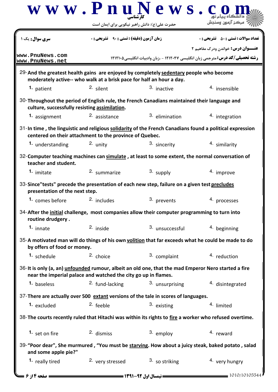|                                                                                                                                               | www.PnuNews.                                                         |                 |                                                                                                                                   |
|-----------------------------------------------------------------------------------------------------------------------------------------------|----------------------------------------------------------------------|-----------------|-----------------------------------------------------------------------------------------------------------------------------------|
|                                                                                                                                               | حضرت علی(ع): دانش راهبر نیکویی برای ایمان است                        |                 | مرڪز آزمون وه                                                                                                                     |
| <b>سری سوال :</b> یک ۱                                                                                                                        | <b>زمان آزمون (دقیقه) : تستی : 90 ٪ تشریحی : 0</b>                   |                 | <b>تعداد سوالات : تستی : 50 ٪ تشریحی : 0</b>                                                                                      |
| www.PnuNews.com<br>www.PnuNews.net                                                                                                            |                                                                      |                 | <b>عنـــوان درس:</b> خواندن ودرک مفاهیم ۲<br><b>رشته تحصیلی/کد درس:</b> مترجمی زبان انگلیسی ۱۲۱۲۰۴۷ - ،زبان وادبیات انگلیسی۲۱۲۱۰۵ |
| 29-And the greatest health gains are enjoyed by completely sedentary people who become                                                        | moderately active-- who walk at a brisk pace for half an hour a day. |                 |                                                                                                                                   |
| 1. patient                                                                                                                                    | 2. silent                                                            | 3. inactive     | <sup>4</sup> insensible                                                                                                           |
| 30-Throughout the period of English rule, the French Canadians maintained their language and<br>culture, successfully resisting assimilation. |                                                                      |                 |                                                                                                                                   |
| 1. assignment                                                                                                                                 | <sup>2.</sup> assistance                                             | 3. elimination  | 4. integration                                                                                                                    |
| 31-In time, the linguistic and religious solidarity of the French Canadians found a political expression                                      | centered on their attachment to the province of Quebec.              |                 |                                                                                                                                   |
| 1. understanding                                                                                                                              | 2. unity                                                             | 3. sincerity    | 4. similarity                                                                                                                     |
| 32-Computer teaching machines can simulate, at least to some extent, the normal conversation of<br>teacher and student.                       |                                                                      |                 |                                                                                                                                   |
| 1. imitate                                                                                                                                    | 2. summarize                                                         | 3. supply       | 4. improve                                                                                                                        |
| 33-Since"tests" precede the presentation of each new step, failure on a given test precludes<br>presentation of the next step.                |                                                                      |                 |                                                                                                                                   |
| 1. comes before                                                                                                                               | 2. includes                                                          | 3. prevents     | 4. processes                                                                                                                      |
| 34-After the initial challenge, most companies allow their computer programming to turn into<br>routine drudgery.                             |                                                                      |                 |                                                                                                                                   |
| 1. innate                                                                                                                                     | $2.$ inside                                                          | 3. unsuccessful | 4. beginning                                                                                                                      |
| 35-A motivated man will do things of his own volition that far exceeds what he could be made to do<br>by offers of food or money.             |                                                                      |                 |                                                                                                                                   |
| 1. schedule                                                                                                                                   | 2. choice                                                            | 3. complaint    | 4. reduction                                                                                                                      |
| 36-It is only (a, an) unfounded rumour, albeit an old one, that the mad Emperor Nero started a fire                                           | near the imperial palace and watched the city go up in flames.       |                 |                                                                                                                                   |
| 1. baseless                                                                                                                                   | <sup>2.</sup> fund-lacking                                           | 3. unsurprising | 4. disintegrated                                                                                                                  |
| 37-There are actually over 500 extant versions of the tale in scores of languages.                                                            |                                                                      |                 |                                                                                                                                   |
| 1. excluded                                                                                                                                   | $2.$ feeble                                                          | 3. existing     | 4. limited                                                                                                                        |
| 38- The courts recently ruled that Hitachi was within its rights to fire a worker who refused overtime.                                       |                                                                      |                 |                                                                                                                                   |
| 1. set on fire                                                                                                                                | 2. dismiss                                                           | 3. employ       | 4. reward                                                                                                                         |
| and some apple pie?"                                                                                                                          |                                                                      |                 | 39-"Poor dear", She murmured, "You must be starving. How about a juicy steak, baked potato, salad                                 |
| 1. really tired                                                                                                                               | 2. very stressed                                                     | 3. so striking  | 4. very hungry                                                                                                                    |
| = صفحه ۱۴ ز ۶ =                                                                                                                               |                                                                      |                 | $= 1010/10105544$                                                                                                                 |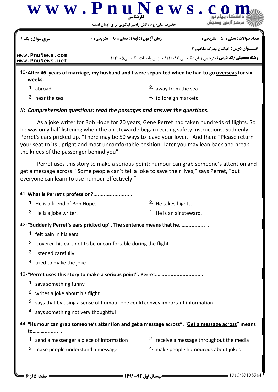

|                                                                                                                                                                                                                                                                                                                                                                                                                                        | <b>تارشناسی</b><br>حضرت علی(ع): دانش راهبر نیکویی برای ایمان است         |                                                                                                   | د السڪاه پيام لور<br>" مرڪز آزمون وسنڊش      |  |  |
|----------------------------------------------------------------------------------------------------------------------------------------------------------------------------------------------------------------------------------------------------------------------------------------------------------------------------------------------------------------------------------------------------------------------------------------|--------------------------------------------------------------------------|---------------------------------------------------------------------------------------------------|----------------------------------------------|--|--|
| <b>سری سوال :</b> یک ۱                                                                                                                                                                                                                                                                                                                                                                                                                 | <b>زمان آزمون (دقیقه) : تستی : 90 ٪ تشریحی : 0</b>                       |                                                                                                   | <b>تعداد سوالات : تستي : 50 ٪ تشريحي : 0</b> |  |  |
|                                                                                                                                                                                                                                                                                                                                                                                                                                        |                                                                          | <b>عنـــوان درس:</b> خواندن ودرک مفاهیم ۲                                                         |                                              |  |  |
| www.PnuNews.com<br>www.PnuNews.net                                                                                                                                                                                                                                                                                                                                                                                                     |                                                                          | <b>رشته تحصیلی/کد درس:</b> مترجمی زبان انگلیسی ۱۲۱۲۰۴۷ - ،زبان وادبیات انگلیسی1۲۱۲۱۰۵             |                                              |  |  |
| weeks.                                                                                                                                                                                                                                                                                                                                                                                                                                 |                                                                          | 40-After 46 years of marriage, my husband and I were separated when he had to go overseas for six |                                              |  |  |
| 1. abroad                                                                                                                                                                                                                                                                                                                                                                                                                              |                                                                          | <sup>2.</sup> away from the sea                                                                   |                                              |  |  |
| 3. near the sea                                                                                                                                                                                                                                                                                                                                                                                                                        |                                                                          | 4. to foreign markets                                                                             |                                              |  |  |
|                                                                                                                                                                                                                                                                                                                                                                                                                                        | II: Comprehension questions: read the passages and answer the questions. |                                                                                                   |                                              |  |  |
| As a joke writer for Bob Hope for 20 years, Gene Perret had taken hundreds of flights. So<br>he was only half listening when the air stewarde began reciting safety instructions. Suddenly<br>Perret's ears pricked up. "There may be 50 ways to leave your lover." And then: "Please return<br>your seat to its upright and most uncomfortable position. Later you may lean back and break<br>the knees of the passenger behind you". |                                                                          |                                                                                                   |                                              |  |  |
| Perret uses this story to make a serious point: humour can grab someone's attention and<br>get a message across. "Some people can't tell a joke to save their lives," says Perret, "but<br>everyone can learn to use humour effectively."                                                                                                                                                                                              |                                                                          |                                                                                                   |                                              |  |  |
| 41-What is Perret's profession?                                                                                                                                                                                                                                                                                                                                                                                                        |                                                                          |                                                                                                   |                                              |  |  |
| 1. He is a friend of Bob Hope.                                                                                                                                                                                                                                                                                                                                                                                                         |                                                                          | <sup>2.</sup> He takes flights.                                                                   |                                              |  |  |
| 3. He is a joke writer.                                                                                                                                                                                                                                                                                                                                                                                                                |                                                                          | <sup>4.</sup> He is an air steward.                                                               |                                              |  |  |
|                                                                                                                                                                                                                                                                                                                                                                                                                                        | 42-"Suddenly Perret's ears pricked up". The sentence means that he       |                                                                                                   |                                              |  |  |
| 1. felt pain in his ears                                                                                                                                                                                                                                                                                                                                                                                                               |                                                                          |                                                                                                   |                                              |  |  |
|                                                                                                                                                                                                                                                                                                                                                                                                                                        | 2. covered his ears not to be uncomfortable during the flight            |                                                                                                   |                                              |  |  |
| 3. listened carefully                                                                                                                                                                                                                                                                                                                                                                                                                  |                                                                          |                                                                                                   |                                              |  |  |
| 4. tried to make the joke                                                                                                                                                                                                                                                                                                                                                                                                              |                                                                          |                                                                                                   |                                              |  |  |
|                                                                                                                                                                                                                                                                                                                                                                                                                                        |                                                                          |                                                                                                   |                                              |  |  |
|                                                                                                                                                                                                                                                                                                                                                                                                                                        | 1. says something funny                                                  |                                                                                                   |                                              |  |  |
|                                                                                                                                                                                                                                                                                                                                                                                                                                        | 2. writes a joke about his flight                                        |                                                                                                   |                                              |  |  |
| 3. says that by using a sense of humour one could convey important information                                                                                                                                                                                                                                                                                                                                                         |                                                                          |                                                                                                   |                                              |  |  |
| 4. says something not very thoughtful                                                                                                                                                                                                                                                                                                                                                                                                  |                                                                          |                                                                                                   |                                              |  |  |
| to                                                                                                                                                                                                                                                                                                                                                                                                                                     |                                                                          | 44-"Humour can grab someone's attention and get a message across". "Get a message across" means   |                                              |  |  |

- **1.** send a messenger a piece of information
- 2. receive a message throughout the media
- 3. make people understand a message
- 4. make people humourous about jokes